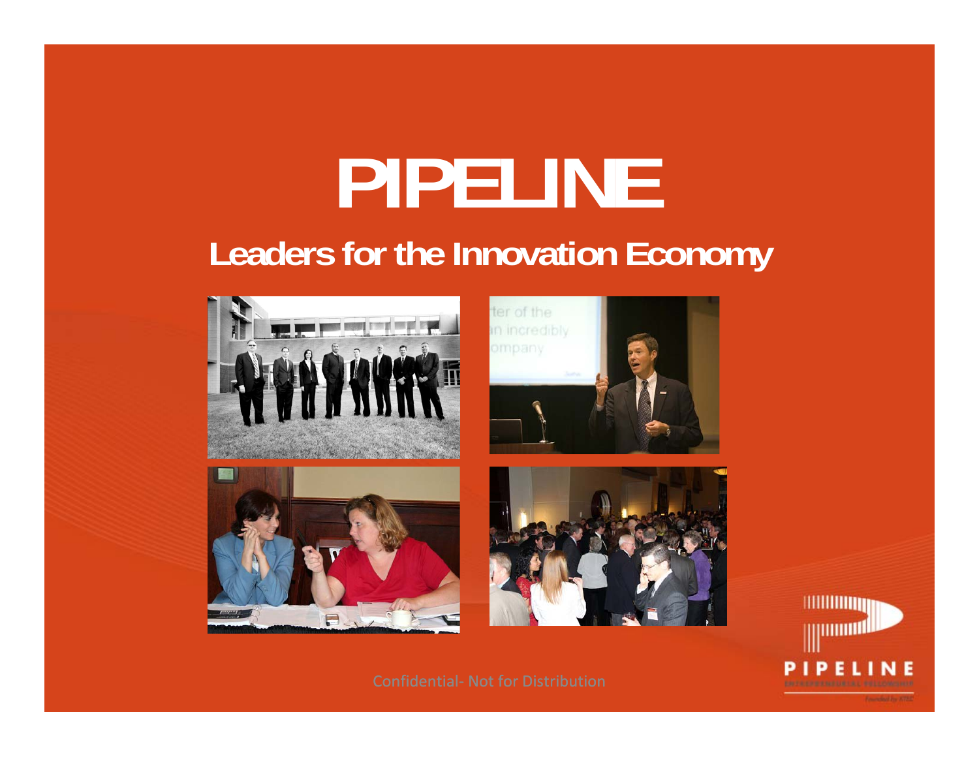# **PIPELINE Leaders for the Innovation Economy**











Confidential‐ Not for Distribution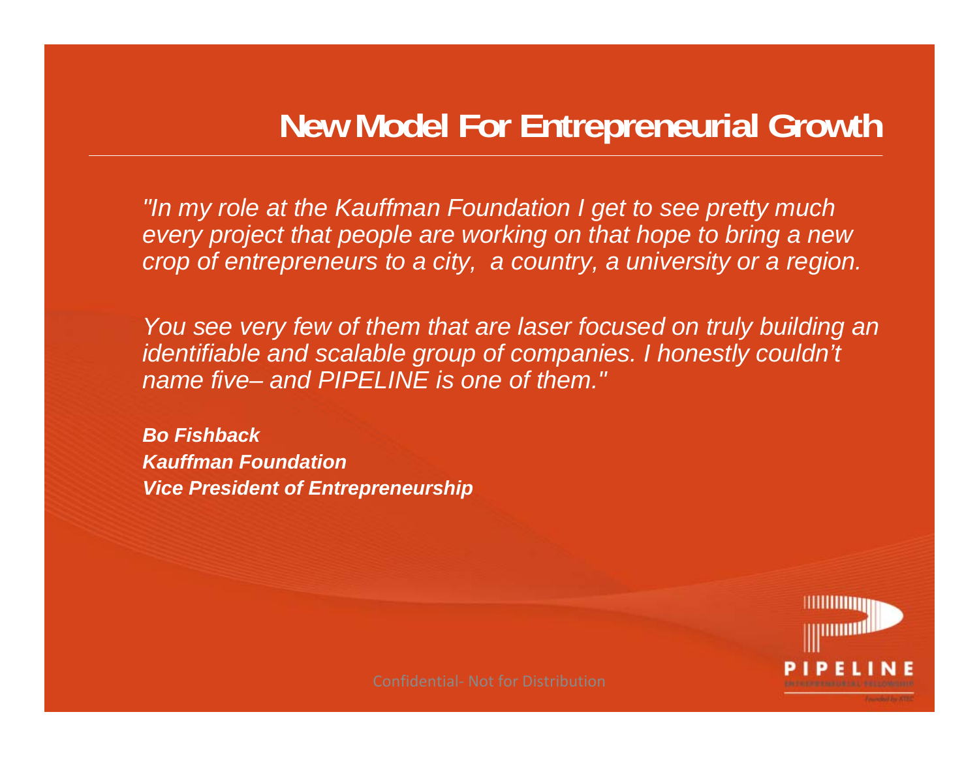### **New Model For Entrepreneurial Growth**

*"In my role at the Kauffman Foundation I get to see pretty much every project that people are working on that hope to bring a new crop of entrepreneurs to a city, a country, a university or a region.*

You see very few of them that are laser focused on truly building an *identifiable and scalable group of companies. I honestly couldn't name five– and PIPELINE is one of them."*

*Bo FishbackKauffman FoundationVice President of Entrepreneurship*

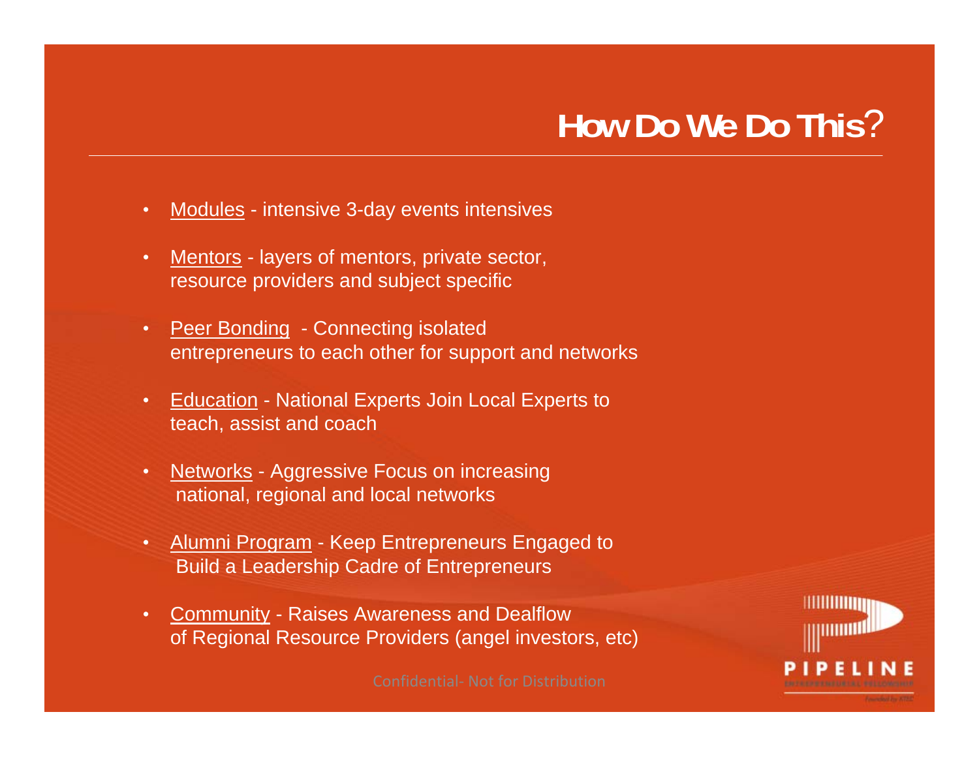## **How Do We Do This**?

- Modules intensive 3-day events intensives
- Mentors layers of mentors, private sector, resource providers and subject specific
- Peer Bonding Connecting isolated entrepreneurs to each other for support and networks
- Education National Experts Join Local Experts to teach, assist and coach
- Networks Aggressive Focus on increasing national, regional and local networks
- Alumni Program Keep Entrepreneurs Engaged to Build a Leadership Cadre of Entrepreneurs
- Community Raises Awareness and Dealflow of Regional Resource Providers (angel investors, etc)

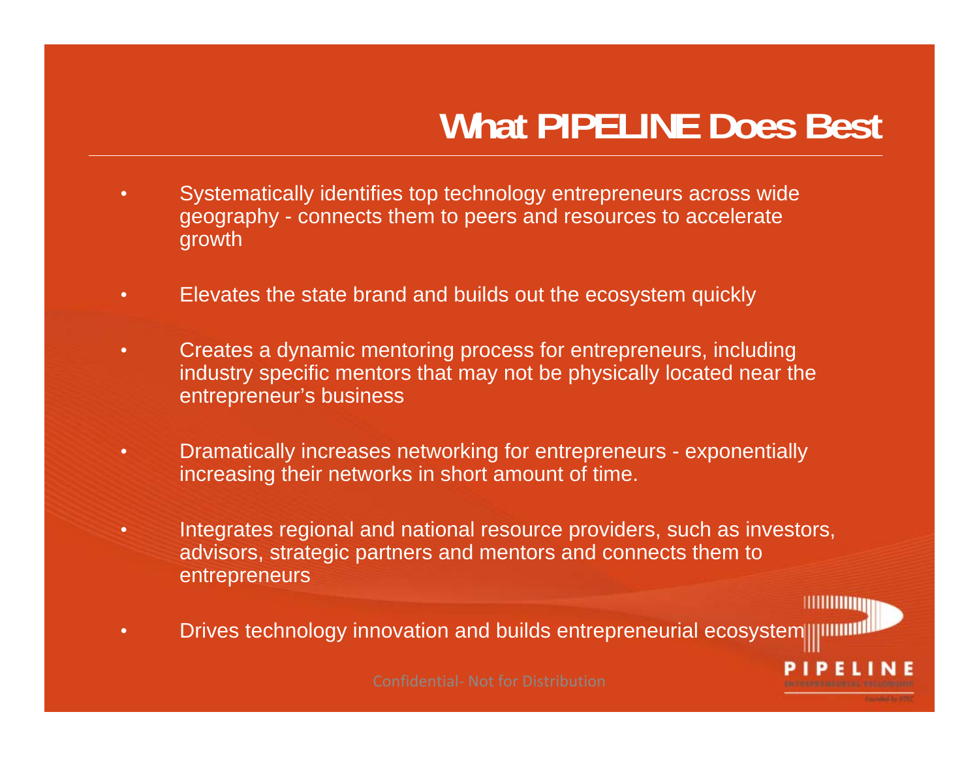## **What PIPELINE Does Best**

HIIIIIIIIIII

- Systematically identifies top technology entrepreneurs across wide geography - connects them to peers and resources to accelerate growth
- Elevates the state brand and builds out the ecosystem quickly
- Creates a dynamic mentoring process for entrepreneurs, including industry specific mentors that may not be physically located near the entrepreneur's business
- Dramatically increases networking for entrepreneurs exponentially increasing their networks in short amount of time.
- Integrates regional and national resource providers, such as investors, advisors, strategic partners and mentors and connects them to **entrepreneurs**
- Drives technology innovation and builds entrepreneurial ecosystem in the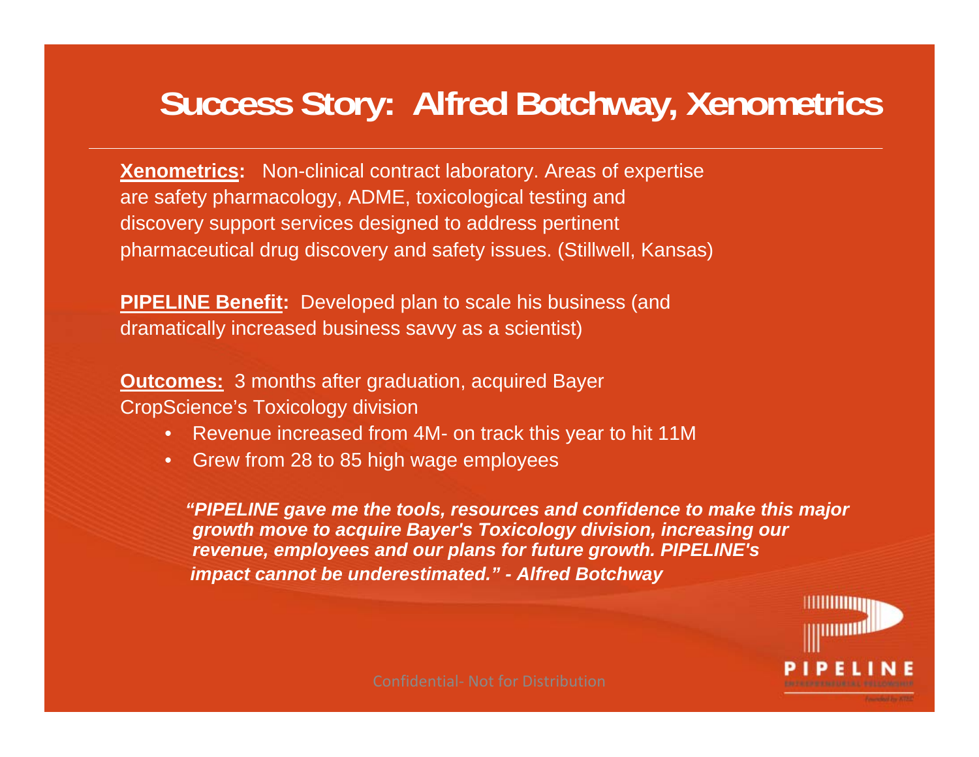## **Success Story: Alfred Botchway, Xenometrics**

**Xenometrics:** Non-clinical contract laboratory. Areas of expertise are safety pharmacology, ADME, toxicological testing and discovery support services designed to address pertinent pharmaceutical drug discovery and safety issues. (Stillwell, Kansas)

**PIPELINE Benefit:** Developed plan to scale his business (and dramatically increased business savvy as a scientist)

**Outcomes:** 3 months after graduation, acquired Bayer CropScience's Toxicology division

- Revenue increased from 4M- on track this year to hit 11M
- Grew from 28 to 85 high wage employees

*"PIPELINE gave me the tools, resources and confidence to make this major growth move to acquire Bayer's Toxicology division, increasing our revenue, employees and our plans for future growth. PIPELINE's impact cannot be underestimated." - Alfred Botchway*

**HIIIIIIIIII**